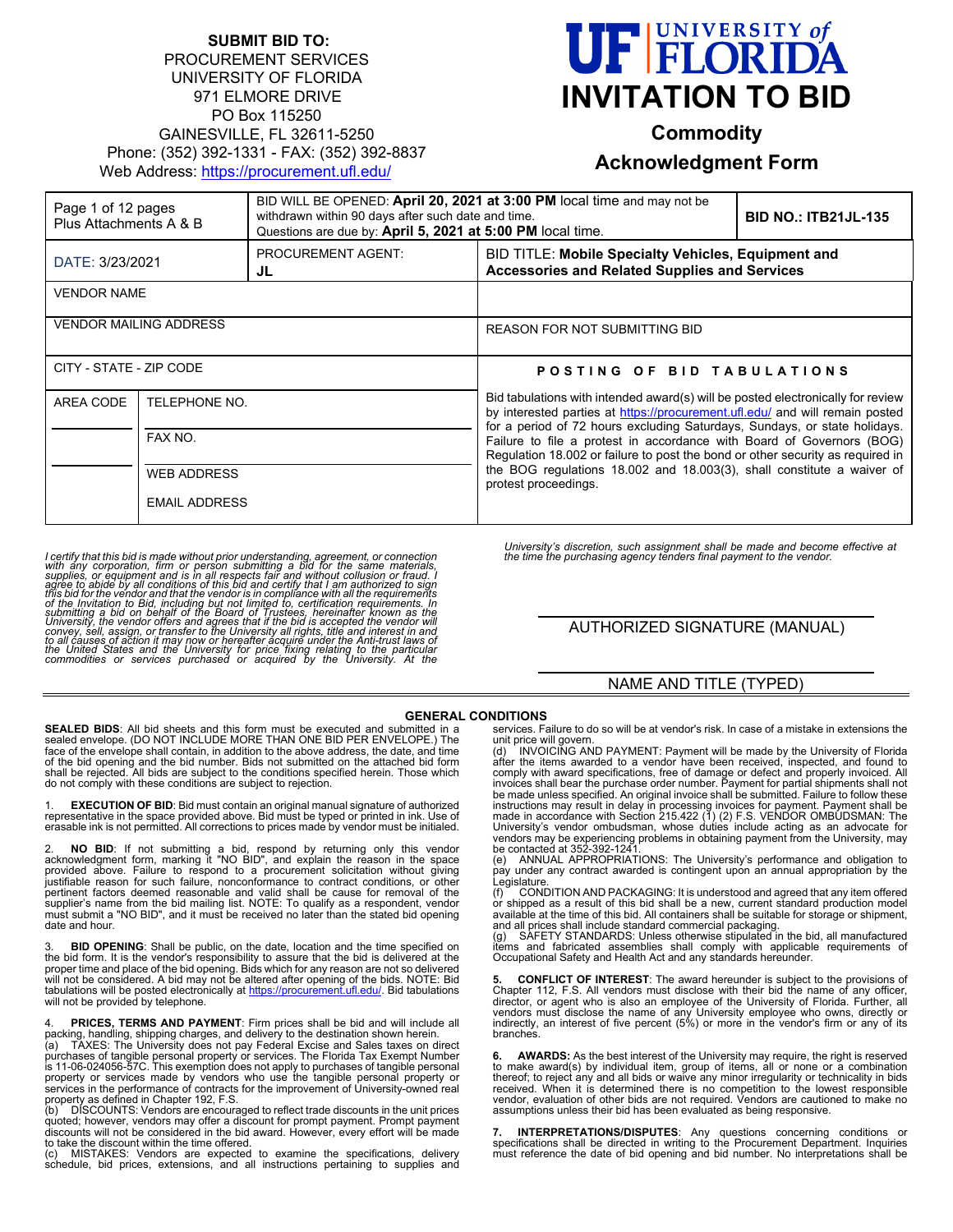#### **SUBMIT BID TO:** PROCUREMENT SERVICES UNIVERSITY OF FLORIDA 971 ELMORE DRIVE PO Box 115250 GAINESVILLE, FL 32611-5250 Phone: (352) 392-1331 - FAX: (352) 392-8837 Web Address:<https://procurement.ufl.edu/>

# **FELORIDA INVITATION TO BID**

**Commodity**

## **Acknowledgment Form**

| Page 1 of 12 pages<br>Plus Attachments A & B |                                                       | BID WILL BE OPENED: April 20, 2021 at 3:00 PM local time and may not be<br>withdrawn within 90 days after such date and time.<br>Questions are due by: April 5, 2021 at 5:00 PM local time. |                                                                                                                                                                                                                                                                                                                                        | <b>BID NO.: ITB21JL-135</b> |
|----------------------------------------------|-------------------------------------------------------|---------------------------------------------------------------------------------------------------------------------------------------------------------------------------------------------|----------------------------------------------------------------------------------------------------------------------------------------------------------------------------------------------------------------------------------------------------------------------------------------------------------------------------------------|-----------------------------|
| DATE: 3/23/2021                              |                                                       | PROCUREMENT AGENT:<br>JL                                                                                                                                                                    | BID TITLE: Mobile Specialty Vehicles, Equipment and<br><b>Accessories and Related Supplies and Services</b>                                                                                                                                                                                                                            |                             |
| <b>VENDOR NAME</b>                           |                                                       |                                                                                                                                                                                             |                                                                                                                                                                                                                                                                                                                                        |                             |
| <b>VENDOR MAILING ADDRESS</b>                |                                                       |                                                                                                                                                                                             | <b>REASON FOR NOT SUBMITTING BID</b>                                                                                                                                                                                                                                                                                                   |                             |
| CITY - STATE - ZIP CODE                      |                                                       |                                                                                                                                                                                             | POSTING OF BID TABULATIONS<br>Bid tabulations with intended award(s) will be posted electronically for review<br>by interested parties at https://procurement.ufl.edu/ and will remain posted                                                                                                                                          |                             |
| AREA CODE<br>TELEPHONE NO.                   |                                                       |                                                                                                                                                                                             |                                                                                                                                                                                                                                                                                                                                        |                             |
|                                              | FAX NO.<br><b>WEB ADDRESS</b><br><b>EMAIL ADDRESS</b> |                                                                                                                                                                                             | for a period of 72 hours excluding Saturdays, Sundays, or state holidays.<br>Failure to file a protest in accordance with Board of Governors (BOG)<br>Regulation 18.002 or failure to post the bond or other security as required in<br>the BOG regulations 18.002 and 18.003(3), shall constitute a waiver of<br>protest proceedings. |                             |
|                                              |                                                       |                                                                                                                                                                                             |                                                                                                                                                                                                                                                                                                                                        |                             |
|                                              |                                                       |                                                                                                                                                                                             |                                                                                                                                                                                                                                                                                                                                        |                             |

I certify that this bid is made without prior understanding, agreement, or connection<br>with any corporation, firm or person submitting a bid ror the same materials,<br>supplies, or equipment and is in all respects fair and wit

*University's discretion, such assignment shall be made and become effective at the time the purchasing agency tenders final payment to the vendor.*

AUTHORIZED SIGNATURE (MANUAL)

#### NAME AND TITLE (TYPED)

**SEALED BIDS**: All bid sheets and this form must be executed and submitted in a sealed envelope. (DO NOT INCLUDE MORE THAN ONE BID PER ENVELOPE.) The face of the envelope shall contain, in addition to the above address, the date, and time of the bid opening and the bid number. Bids not submitted on the attached bid form shall be rejected. All bids are subject to the conditions specified herein. Those which do not comply with these conditions are subject to rejection.

1. **EXECUTION OF BID**: Bid must contain an original manual signature of authorized representative in the space provided above. Bid must be typed or printed in ink. Use of erasable ink is not permitted. All corrections to prices made by vendor must be initialed.

2. **NO BID**: If not submitting a bid, respond by returning only this vendor acknowledgment form, marking it "NO BID", and explain the reason in the space provided above. Failure to respond to a procurement solicitation wit supplier's name from the bid mailing list. NOTE: To qualify as a respondent, vendor must submit a "NO BID", and it must be received no later than the stated bid opening date and hour.

3. **BID OPENING**: Shall be public, on the date, location and the time specified on the bid form. It is the vendor's responsibility to assure that the bid is delivered at the proper time and place of the bid opening. Bids which for any reason are not so delivered will not be considered. A bid may not be altered after opening of the bids. NOTE: Bid<br>tabulations will be posted electronically at <u>https://procurement.ufl.edu/</u>. Bid tabulations will not be provided by telephone.

4. **PRICES, TERMS AND PAYMENT**: Firm prices shall be bid and will include all

packing, handling, shipping charges, and delivery to the destination shown herein.<br>(a) TAXES: The University does not pay Federal Excise and Sales taxes on direct<br>purchases of tangible personal property or services. The Fl

property as defined in Chapter 192, F.S.<br>(b) DISCOUNTS: Vendors are encouraged to reflect trade discounts in the unit prices<br>quoted; however, vendors may offer a discount for prompt payment. Prompt payment discounts will not be considered in the bid award. However, every effort will be made

to take the discount within the time offered. (c) MISTAKES: Vendors are expected to examine the specifications, delivery schedule, bid prices, extensions, and all instructions pertaining to supplies and

**GENERAL CONDITIONS**<br>mitted in a services. Failure to do so will be at vendor's risk. In case of a mistake in extensions the

services. Failure to do so will be at vendor's risk. In case of a mistake in extensions the unit price will govern.<br>
(d) INVOICING AND PAYMENT: Payment will be made by the University of Florida<br>
(d) INVOICING AND PAYMENT: vendors may be experiencing problems in obtaining payment from the University, may<br>be contacted at 352-392-1241.<br>(e) ANNUAL APPROPRIATIONS: The University's performance and obligation to

pay under any contract awarded is contingent upon an annual appropriation by the Legislature.

(f) CONDITION AND PACKAGING: It is understood and agreed that any item offered or shipped as a result of this bid shall be a new, current standard production model<br>available at the time of this bid. All containers shall be suitable for storage or shipment,<br>and all prices shall include standard commer

(g) SAFETY STANDARDS: Unless otherwise stipulated in the bid, all manufactured<br>items and fabricated assemblies shall comply with applicable requirements of<br>Occupational Safety and Health Act and any standards he

**5. CONFLICT OF INTEREST**: The award hereunder is subject to the provisions of Chapter 112, F.S. All vendors must disclose with their bid the name of any officer, director, or agent who is also an employee of the University of Florida. Further, all vendors must disclose the name of any University employee who owns, directly or indirectly, an interest of five percent (5%) or more in the vendor's firm or any of its branches.

**6. AWARDS:** As the best interest of the University may require, the right is reserved to make award(s) by individual item, group of items, all or none or a combination thereof; to reject any and all bids or waive any minor irregularity or technicality in bids received. When it is determined there is no competition to the lowest responsible vendor, evaluation of other bids are not required. Vendors are cautioned to make no assumptions unless their bid has been evaluated as being responsive.

**7. INTERPRETATIONS/DISPUTES**: Any questions concerning conditions or<br>specifications shall be directed in writing to the Procurement Department. Inquiries<br>must reference the date of bid opening and bid number. No interpret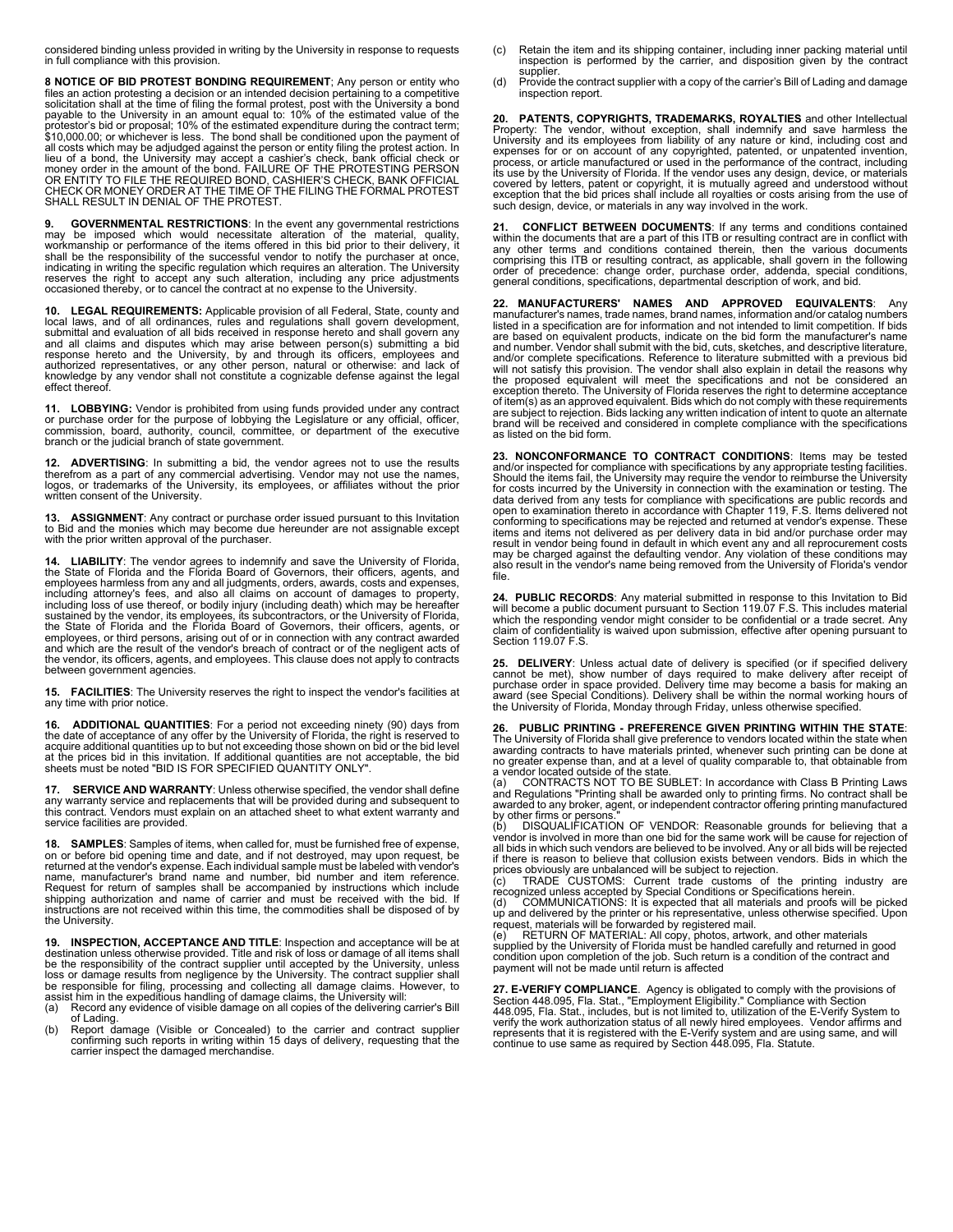considered binding unless provided in writing by the University in response to requests in full compliance with this provision.

**8 NOTICE OF BID PROTEST BONDING REQUIREMENT**; Any person or entity who files an action protesting a decision or an intended decision pertaining to a competitive<br>solicitation shall at the time of filing the formal protest, post with the University a bond<br>payable to the University in an amount protestor's bid or proposal; 10% of the estimated expenditure during the contract term; \$10,000.00; or whichever is less. The bond shall be conditioned upon the payment of all costs which may be adjudged against the person or entity filing the protest action. In<br>lieu of a bond, the University may accept a cashier's check, bank official check or<br>money order in the amount of the bond. FAILURE SHALL RESULT IN DENIAL OF THE PROTEST.

**9. GOVERNMENTAL RESTRICTIONS**: In the event any governmental restrictions may be imposed which would necessitate alteration of the material, quality, workmanship or performance of the items offered in this bid prior to their delivery, it<br>shall be the responsibility of the successful vendor to notify the purchaser at once,<br>indicating in writing the specific regulation wh

**10. LEGAL REQUIREMENTS:** Applicable provision of all Federal, State, county and local laws, and of all ordinances, rules and regulations shall govern development, submittal and evaluation of all bids received in response hereto and shall govern any and all claims and disputes which may arise between person(s) submitting a bid<br>response hereto and the University, by and through its officers, employees and<br>authorized representatives, or any other person, natural or othe knowledge by any vendor shall not constitute a cognizable defense against the legal effect thereof.

**11. LOBBYING:** Vendor is prohibited from using funds provided under any contract<br>or purchase order for the purpose of lobbying the Legislature or any official, officer,<br>commission, board, authority, council, committee, or

**12. ADVERTISING**: In submitting a bid, the vendor agrees not to use the results<br>therefrom as a part of any commercial advertising. Vendor may not use the names,<br>logos, or trademarks of the University, its employees, or written consent of the University.

**13. ASSIGNMENT**: Any contract or purchase order issued pursuant to this Invitation to Bid and the monies which may become due hereunder are not assignable except with the prior written approval of the purchaser.

**14. LIABILITY**: The vendor agrees to indemnify and save the University of Florida,<br>the State of Florida and the Florida Board of Governors, their officers, agents, and<br>employees harmless from any and all judgments, orders including attorney's fees, and also all claims on account of damages to property, including loss of use thereof, or bodily injury (including death) which may be hereafter sustained by the vendor, its employees, its subcont between government agencies.

**15. FACILITIES**: The University reserves the right to inspect the vendor's facilities at any time with prior notice.

**16. ADDITIONAL QUANTITIES**: For a period not exceeding ninety (90) days from the date of acceptance of any offer by the University of Florida, the right is reserved to acquire additional quantities up to but not exceeding those shown on bid or the bid level<br>at the prices bid in this invitation. If additional quantities are not acceptable, the bid<br>sheets must be noted "BID IS FOR SPECIFIE

**17. SERVICE AND WARRANTY**: Unless otherwise specified, the vendor shall define any warranty service and replacements that will be provided during and subsequent to this contract. Vendors must explain on an attached sheet to what extent warranty and service facilities are provided.

**18. SAMPLES**: Samples of items, when called for, must be furnished free of expense,<br>on or before bid opening time and date, and if not destroyed, may upon request, be<br>returned at the vendor's expense. Ea name, manufacturer's brand name and number, bid number and item reference. Request for return of samples shall be accompanied by instructions which include shipping authorization and name of carrier and must be received with the bid. If instructions are not received within this time, the commodities shall be disposed of by the University.

**19. INSPECTION, ACCEPTANCE AND TITLE**: Inspection and acceptance will be at destination unless otherwise provided. Title and risk of loss or damage of all items shall be the responsibility of the contract supplier until accepted by the University, unless<br>loss or damage results from negligence by the University. The contract supplier shall<br>be responsible for filing, processing and collec

- assist him in the expeditious handling of damage claims, the University will: (a) Record any evidence of visible damage on all copies of the delivering carrier's Bill of Lading.
- (b) Report damage (Visible or Concealed) to the carrier and contract supplier confirming such reports in writing within 15 days of delivery, requesting that the carrier inspect the damaged merchandise.
- (c) Retain the item and its shipping container, including inner packing material until inspection is performed by the carrier, and disposition given by the contract supplier.
- (d) Provide the contract supplier with a copy of the carrier's Bill of Lading and damage inspection report.

20. PATENTS, COPYRIGHTS, TRADEMARKS, ROYALTIES and other Intellectual Property: The vendor, without exception, shall indemnify and save harmless the University and its employees from lability of any nature or kind, includi its use by the University of Florida. If the vendor uses any design, device, or materials covered by letters, patent or copyright, it is mutually agreed and understood without exception that the bid prices shall include all royalties or costs arising from the use of such design, device, or materials in any way involved in the work.

**21. CONFLICT BETWEEN DOCUMENTS**: If any terms and conditions contained within the documents that are a part of this ITB or resulting contract are in conflict with any other terms and conditions contained therein, then the various documents<br>comprising this ITB or resulting contract, as applicable, shall govern in the following<br>order of precedence: change order, purchase order, addend general conditions, specifications, departmental description of work, and bid.

**22. MANUFACTURERS' NAMES AND APPROVED EQUIVALENTS**: Any<br>manufacturer's names, trade names, brand names, information and/or catalog numbers<br>listed in a specification are for information and not intended to limit competitio are based on equivalent products, indicate on the bid form the manufacturer's name and number. Vendor shall submit with the bid, cuts, sketches, and descriptive literature,<br>and/or complete specifications. Reference to literature submitted with a previous bid will not satisfy this provision. The vendor shall also explain in detail the reasons why<br>the proposed equivalent will meet the specifications and not be considered an<br>exception thereto. The University of Florida of item(s) as an approved equivalent. Bids which do not comply with these requirements are subject to rejection. Bids lacking any written indication of intent to quote an alternate brand will be received and considered in complete compliance with the specifications as listed on the bid form.

**23. NONCONFORMANCE TO CONTRACT CONDITIONS**: Items may be tested and/or inspected for compliance with specifications by any appropriate testing facilities.<br>Should the items fail, the University may require the vendor to reimburse the University<br>for costs incurred by the University in co data derived from any tests for compliance with specifications are public records and<br>open to examination thereto in accordance with Chapter 119, F.S. Items delivered not<br>conforming to specifications may be rejected and re items and items not delivered as per delivery data in bid and/or purchase order may<br>result in vendor being found in default in which event any and all reprocurement costs<br>may be charged against the defaulting vendor. Any v also result in the vendor's name being removed from the University of Florida's vendor file.

**24. PUBLIC RECORDS**: Any material submitted in response to this Invitation to Bid will become a public document pursuant to Section 119.07 F.S. This includes material which the responding vendor might consider to be confidential or a trade secret. Any claim of confidentiality is waived upon submission, effective after opening pursuant to Section 119.07 F.S.

25. DELIVERY: Unless actual date of delivery is specified (or if specified delivery<br>cannot be met), show number of days required to make delivery after receipt of<br>purchase order in space provided. Delivery time may become

**26. PUBLIC PRINTING - PREFERENCE GIVEN PRINTING WITHIN THE STATE**: The University of Florida shall give preference to vendors located within the state when awarding contracts to have materials printed, whenever such printing can be done at no greater expense than, and at a level of quality comparable to, that obtainable from

a vendor located outside of the state. (a) CONTRACTS NOT TO BE SUBLET: In accordance with Class B Printing Laws and Regulations "Printing shall be awarded only to printing firms. No contract shall be awarded to any broker, agent, or independent contractor offering printing manufactured

by other firms or persons."<br>(b) DISQUALIFICATION OF VENDOR: Reasonable grounds for believing that a<br>vendor is involved in more than one bid for the same work will be cause for rejection of Fall bids in which such vendors are believed to be involved. Any or all bids will be rejected<br>if there is reason to believe that collusion exists between vendors. Bids in which the

if there is reason to believe that collusion exists between vendors. Bids in which the prices obviously are unbalanced will be subject to rejection.<br>(c) TRADE CUSTOMS: Current trade customs of the printing industry are rec

payment will not be made until return is affected

**27. E-VERIFY COMPLIANCE**. Agency is obligated to comply with the provisions of<br>Section 448.095, Fla. Stat., "Employment Eligibility." Compliance with Section<br>448.095, Fla. Stat., includes, but is not limited to, utilizat verify the work authorization status of all newly hired employees. Vendor affirms and<br>represents that it is registered with the E-Verify system and are using same, and will<br>continue to use same as required by Section 448.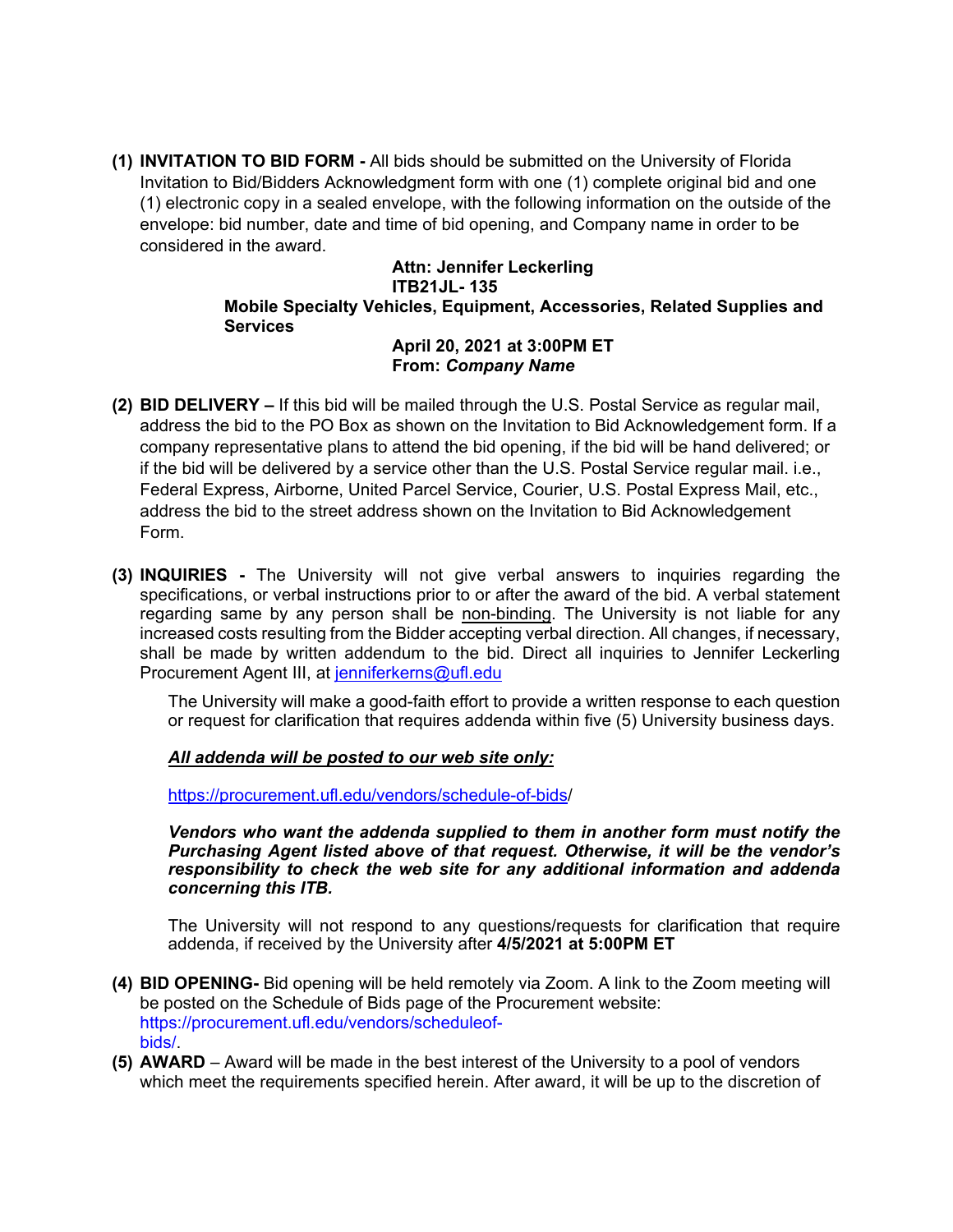**(1) INVITATION TO BID FORM -** All bids should be submitted on the University of Florida Invitation to Bid/Bidders Acknowledgment form with one (1) complete original bid and one (1) electronic copy in a sealed envelope, with the following information on the outside of the envelope: bid number, date and time of bid opening, and Company name in order to be considered in the award.

> **Attn: Jennifer Leckerling ITB21JL- 135 Mobile Specialty Vehicles, Equipment, Accessories, Related Supplies and Services**

#### **April 20, 2021 at 3:00PM ET From:** *Company Name*

- **(2) BID DELIVERY –** If this bid will be mailed through the U.S. Postal Service as regular mail, address the bid to the PO Box as shown on the Invitation to Bid Acknowledgement form. If a company representative plans to attend the bid opening, if the bid will be hand delivered; or if the bid will be delivered by a service other than the U.S. Postal Service regular mail. i.e., Federal Express, Airborne, United Parcel Service, Courier, U.S. Postal Express Mail, etc., address the bid to the street address shown on the Invitation to Bid Acknowledgement Form.
- **(3) INQUIRIES -** The University will not give verbal answers to inquiries regarding the specifications, or verbal instructions prior to or after the award of the bid. A verbal statement regarding same by any person shall be non-binding. The University is not liable for any increased costs resulting from the Bidder accepting verbal direction. All changes, if necessary, shall be made by written addendum to the bid. Direct all inquiries to Jennifer Leckerling Procurement Agent III, at [jenniferkerns@ufl.edu](mailto:jenniferkerns@ufl.edu)

The University will make a good-faith effort to provide a written response to each question or request for clarification that requires addenda within five (5) University business days.

#### *All addenda will be posted to our web site only:*

[https://procurement.ufl.edu/vendors/schedule-of-bids/](https://procurement.ufl.edu/vendors/schedule-of-bids)

*Vendors who want the addenda supplied to them in another form must notify the Purchasing Agent listed above of that request. Otherwise, it will be the vendor's responsibility to check the web site for any additional information and addenda concerning this ITB.*

The University will not respond to any questions/requests for clarification that require addenda, if received by the University after **4/5/2021 at 5:00PM ET**

- **(4) BID OPENING-** Bid opening will be held remotely via Zoom. A link to the Zoom meeting will be posted on the Schedule of Bids page of the Procurement website: https://procurement.ufl.edu/vendors/scheduleofbids/.
- **(5) AWARD**  Award will be made in the best interest of the University to a pool of vendors which meet the requirements specified herein. After award, it will be up to the discretion of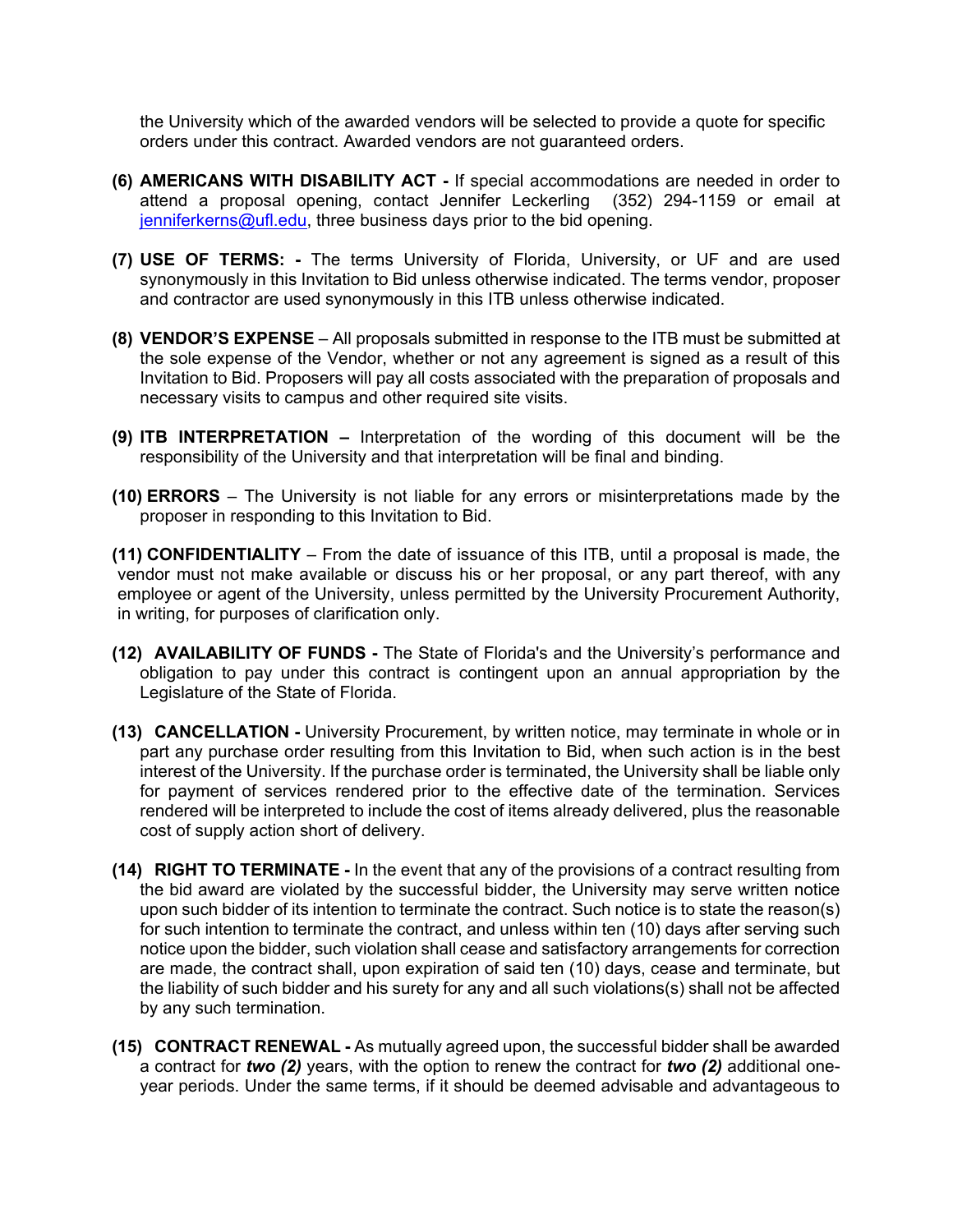the University which of the awarded vendors will be selected to provide a quote for specific orders under this contract. Awarded vendors are not guaranteed orders.

- **(6) AMERICANS WITH DISABILITY ACT -** If special accommodations are needed in order to attend a proposal opening, contact Jennifer Leckerling (352) 294-1159 or email at [jenniferkerns@ufl.edu,](mailto:jenniferkerns@ufl.edu) three business days prior to the bid opening.
- **(7) USE OF TERMS: -** The terms University of Florida, University, or UF and are used synonymously in this Invitation to Bid unless otherwise indicated. The terms vendor, proposer and contractor are used synonymously in this ITB unless otherwise indicated.
- **(8) VENDOR'S EXPENSE**  All proposals submitted in response to the ITB must be submitted at the sole expense of the Vendor, whether or not any agreement is signed as a result of this Invitation to Bid. Proposers will pay all costs associated with the preparation of proposals and necessary visits to campus and other required site visits.
- **(9) ITB INTERPRETATION –** Interpretation of the wording of this document will be the responsibility of the University and that interpretation will be final and binding.
- **(10) ERRORS**  The University is not liable for any errors or misinterpretations made by the proposer in responding to this Invitation to Bid.

**(11) CONFIDENTIALITY** – From the date of issuance of this ITB, until a proposal is made, the vendor must not make available or discuss his or her proposal, or any part thereof, with any employee or agent of the University, unless permitted by the University Procurement Authority, in writing, for purposes of clarification only.

- **(12) AVAILABILITY OF FUNDS -** The State of Florida's and the University's performance and obligation to pay under this contract is contingent upon an annual appropriation by the Legislature of the State of Florida.
- **(13) CANCELLATION -** University Procurement, by written notice, may terminate in whole or in part any purchase order resulting from this Invitation to Bid, when such action is in the best interest of the University. If the purchase order is terminated, the University shall be liable only for payment of services rendered prior to the effective date of the termination. Services rendered will be interpreted to include the cost of items already delivered, plus the reasonable cost of supply action short of delivery.
- **(14) RIGHT TO TERMINATE -** In the event that any of the provisions of a contract resulting from the bid award are violated by the successful bidder, the University may serve written notice upon such bidder of its intention to terminate the contract. Such notice is to state the reason(s) for such intention to terminate the contract, and unless within ten (10) days after serving such notice upon the bidder, such violation shall cease and satisfactory arrangements for correction are made, the contract shall, upon expiration of said ten (10) days, cease and terminate, but the liability of such bidder and his surety for any and all such violations(s) shall not be affected by any such termination.
- **(15) CONTRACT RENEWAL -** As mutually agreed upon, the successful bidder shall be awarded a contract for *two (2)* years, with the option to renew the contract for *two (2)* additional oneyear periods. Under the same terms, if it should be deemed advisable and advantageous to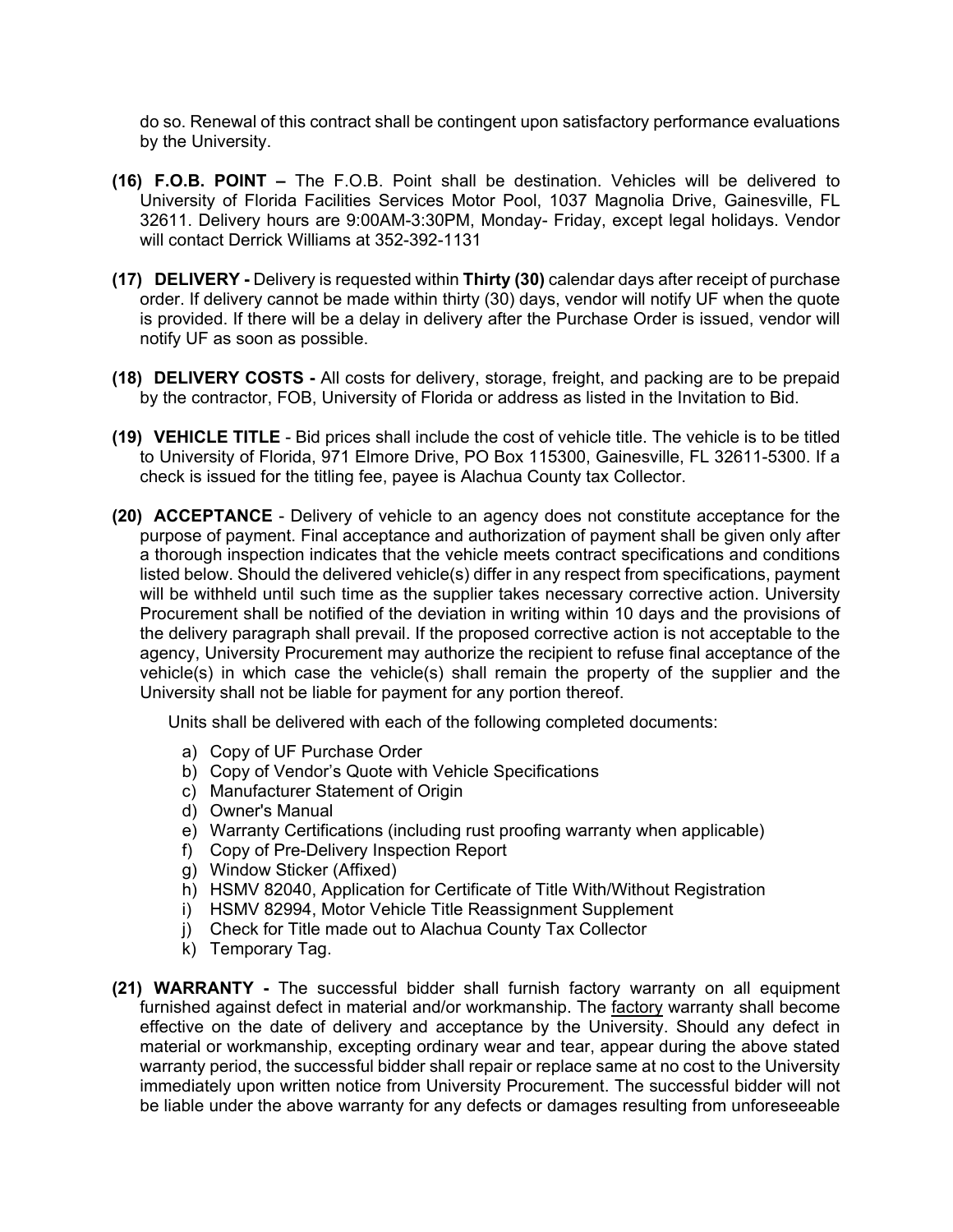do so. Renewal of this contract shall be contingent upon satisfactory performance evaluations by the University.

- **(16) F.O.B. POINT –** The F.O.B. Point shall be destination. Vehicles will be delivered to University of Florida Facilities Services Motor Pool, 1037 Magnolia Drive, Gainesville, FL 32611. Delivery hours are 9:00AM-3:30PM, Monday- Friday, except legal holidays. Vendor will contact Derrick Williams at 352-392-1131
- **(17) DELIVERY -** Delivery is requested within **Thirty (30)** calendar days after receipt of purchase order. If delivery cannot be made within thirty (30) days, vendor will notify UF when the quote is provided. If there will be a delay in delivery after the Purchase Order is issued, vendor will notify UF as soon as possible.
- **(18) DELIVERY COSTS -** All costs for delivery, storage, freight, and packing are to be prepaid by the contractor, FOB, University of Florida or address as listed in the Invitation to Bid.
- **(19) VEHICLE TITLE** Bid prices shall include the cost of vehicle title. The vehicle is to be titled to University of Florida, 971 Elmore Drive, PO Box 115300, Gainesville, FL 32611-5300. If a check is issued for the titling fee, payee is Alachua County tax Collector.
- **(20) ACCEPTANCE** Delivery of vehicle to an agency does not constitute acceptance for the purpose of payment. Final acceptance and authorization of payment shall be given only after a thorough inspection indicates that the vehicle meets contract specifications and conditions listed below. Should the delivered vehicle(s) differ in any respect from specifications, payment will be withheld until such time as the supplier takes necessary corrective action. University Procurement shall be notified of the deviation in writing within 10 days and the provisions of the delivery paragraph shall prevail. If the proposed corrective action is not acceptable to the agency, University Procurement may authorize the recipient to refuse final acceptance of the vehicle(s) in which case the vehicle(s) shall remain the property of the supplier and the University shall not be liable for payment for any portion thereof.

Units shall be delivered with each of the following completed documents:

- a) Copy of UF Purchase Order
- b) Copy of Vendor's Quote with Vehicle Specifications
- c) Manufacturer Statement of Origin
- d) Owner's Manual
- e) Warranty Certifications (including rust proofing warranty when applicable)
- f) Copy of Pre-Delivery Inspection Report
- g) Window Sticker (Affixed)
- h) HSMV 82040, Application for Certificate of Title With/Without Registration
- i) HSMV 82994, Motor Vehicle Title Reassignment Supplement
- j) Check for Title made out to Alachua County Tax Collector
- k) Temporary Tag.
- **(21) WARRANTY -** The successful bidder shall furnish factory warranty on all equipment furnished against defect in material and/or workmanship. The factory warranty shall become effective on the date of delivery and acceptance by the University. Should any defect in material or workmanship, excepting ordinary wear and tear, appear during the above stated warranty period, the successful bidder shall repair or replace same at no cost to the University immediately upon written notice from University Procurement. The successful bidder will not be liable under the above warranty for any defects or damages resulting from unforeseeable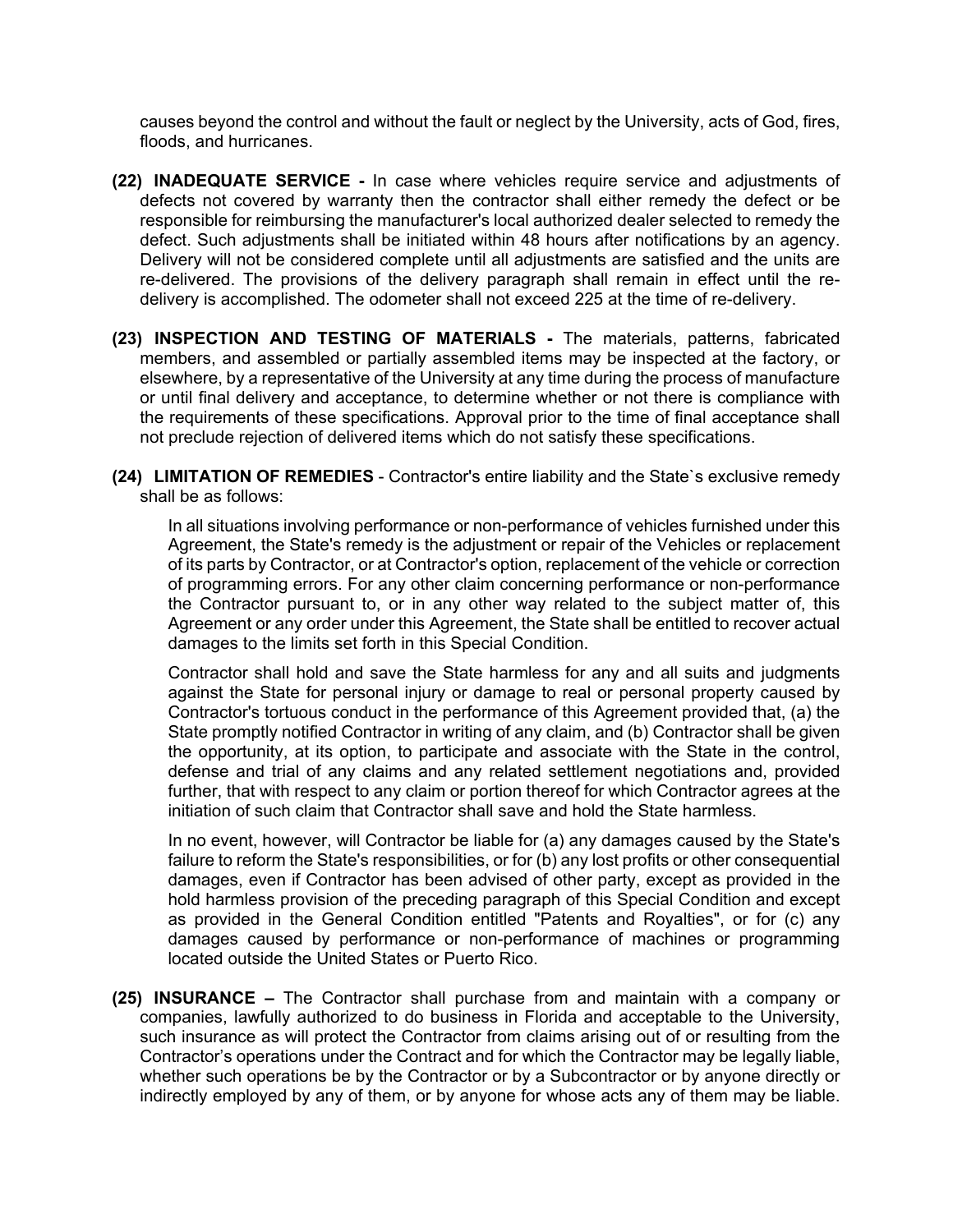causes beyond the control and without the fault or neglect by the University, acts of God, fires, floods, and hurricanes.

- **(22) INADEQUATE SERVICE -** In case where vehicles require service and adjustments of defects not covered by warranty then the contractor shall either remedy the defect or be responsible for reimbursing the manufacturer's local authorized dealer selected to remedy the defect. Such adjustments shall be initiated within 48 hours after notifications by an agency. Delivery will not be considered complete until all adjustments are satisfied and the units are re-delivered. The provisions of the delivery paragraph shall remain in effect until the redelivery is accomplished. The odometer shall not exceed 225 at the time of re-delivery.
- **(23) INSPECTION AND TESTING OF MATERIALS -** The materials, patterns, fabricated members, and assembled or partially assembled items may be inspected at the factory, or elsewhere, by a representative of the University at any time during the process of manufacture or until final delivery and acceptance, to determine whether or not there is compliance with the requirements of these specifications. Approval prior to the time of final acceptance shall not preclude rejection of delivered items which do not satisfy these specifications.
- **(24) LIMITATION OF REMEDIES** Contractor's entire liability and the State`s exclusive remedy shall be as follows:

In all situations involving performance or non-performance of vehicles furnished under this Agreement, the State's remedy is the adjustment or repair of the Vehicles or replacement of its parts by Contractor, or at Contractor's option, replacement of the vehicle or correction of programming errors. For any other claim concerning performance or non-performance the Contractor pursuant to, or in any other way related to the subject matter of, this Agreement or any order under this Agreement, the State shall be entitled to recover actual damages to the limits set forth in this Special Condition.

Contractor shall hold and save the State harmless for any and all suits and judgments against the State for personal injury or damage to real or personal property caused by Contractor's tortuous conduct in the performance of this Agreement provided that, (a) the State promptly notified Contractor in writing of any claim, and (b) Contractor shall be given the opportunity, at its option, to participate and associate with the State in the control, defense and trial of any claims and any related settlement negotiations and, provided further, that with respect to any claim or portion thereof for which Contractor agrees at the initiation of such claim that Contractor shall save and hold the State harmless.

In no event, however, will Contractor be liable for (a) any damages caused by the State's failure to reform the State's responsibilities, or for (b) any lost profits or other consequential damages, even if Contractor has been advised of other party, except as provided in the hold harmless provision of the preceding paragraph of this Special Condition and except as provided in the General Condition entitled "Patents and Royalties", or for (c) any damages caused by performance or non-performance of machines or programming located outside the United States or Puerto Rico.

**(25) INSURANCE –** The Contractor shall purchase from and maintain with a company or companies, lawfully authorized to do business in Florida and acceptable to the University, such insurance as will protect the Contractor from claims arising out of or resulting from the Contractor's operations under the Contract and for which the Contractor may be legally liable, whether such operations be by the Contractor or by a Subcontractor or by anyone directly or indirectly employed by any of them, or by anyone for whose acts any of them may be liable.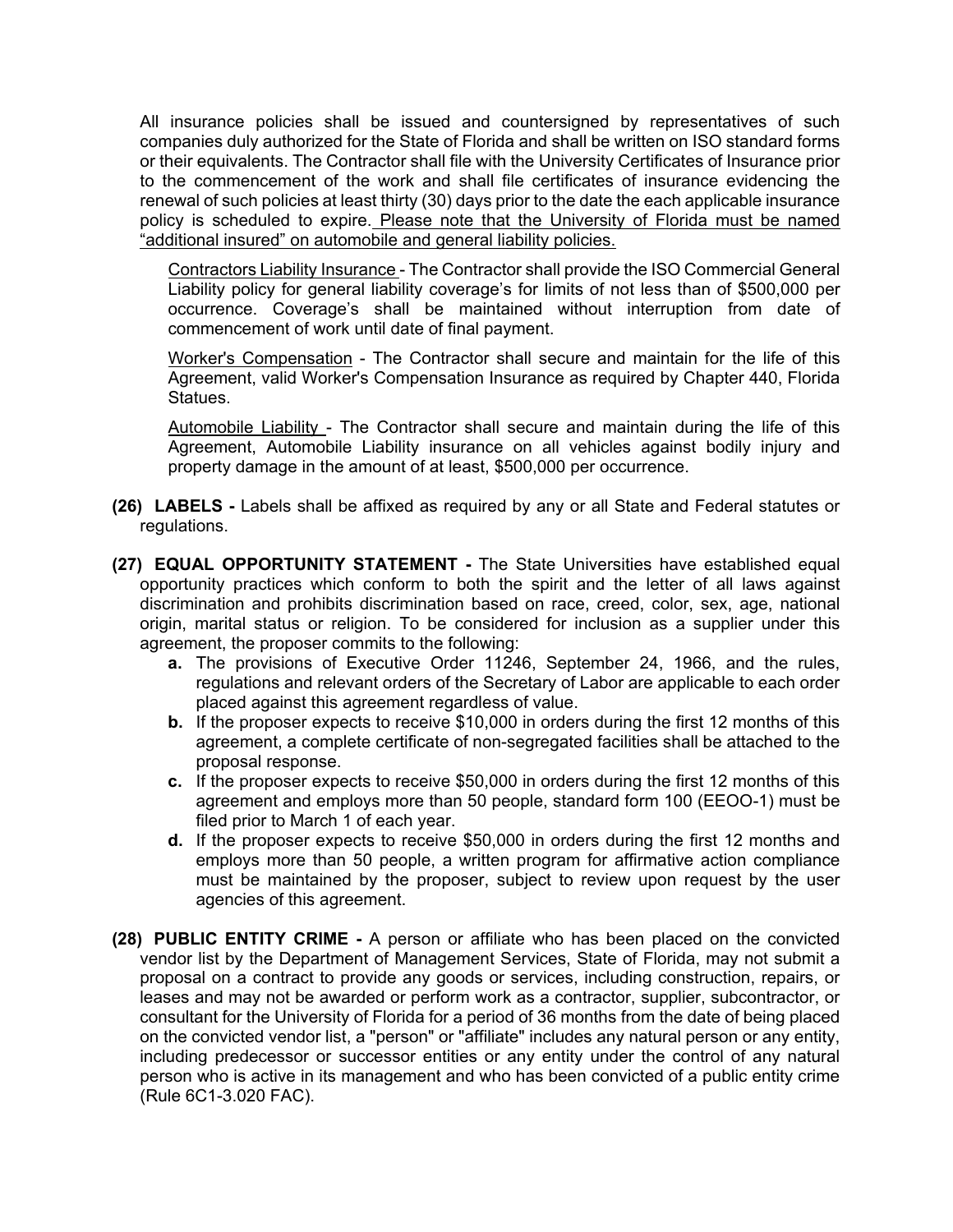All insurance policies shall be issued and countersigned by representatives of such companies duly authorized for the State of Florida and shall be written on ISO standard forms or their equivalents. The Contractor shall file with the University Certificates of Insurance prior to the commencement of the work and shall file certificates of insurance evidencing the renewal of such policies at least thirty (30) days prior to the date the each applicable insurance policy is scheduled to expire. Please note that the University of Florida must be named "additional insured" on automobile and general liability policies.

Contractors Liability Insurance - The Contractor shall provide the ISO Commercial General Liability policy for general liability coverage's for limits of not less than of \$500,000 per occurrence. Coverage's shall be maintained without interruption from date of commencement of work until date of final payment.

Worker's Compensation - The Contractor shall secure and maintain for the life of this Agreement, valid Worker's Compensation Insurance as required by Chapter 440, Florida Statues.

Automobile Liability - The Contractor shall secure and maintain during the life of this Agreement, Automobile Liability insurance on all vehicles against bodily injury and property damage in the amount of at least, \$500,000 per occurrence.

- **(26) LABELS -** Labels shall be affixed as required by any or all State and Federal statutes or regulations.
- **(27) EQUAL OPPORTUNITY STATEMENT -** The State Universities have established equal opportunity practices which conform to both the spirit and the letter of all laws against discrimination and prohibits discrimination based on race, creed, color, sex, age, national origin, marital status or religion. To be considered for inclusion as a supplier under this agreement, the proposer commits to the following:
	- **a.** The provisions of Executive Order 11246, September 24, 1966, and the rules, regulations and relevant orders of the Secretary of Labor are applicable to each order placed against this agreement regardless of value.
	- **b.** If the proposer expects to receive \$10,000 in orders during the first 12 months of this agreement, a complete certificate of non-segregated facilities shall be attached to the proposal response.
	- **c.** If the proposer expects to receive \$50,000 in orders during the first 12 months of this agreement and employs more than 50 people, standard form 100 (EEOO-1) must be filed prior to March 1 of each year.
	- **d.** If the proposer expects to receive \$50,000 in orders during the first 12 months and employs more than 50 people, a written program for affirmative action compliance must be maintained by the proposer, subject to review upon request by the user agencies of this agreement.
- **(28) PUBLIC ENTITY CRIME -** A person or affiliate who has been placed on the convicted vendor list by the Department of Management Services, State of Florida, may not submit a proposal on a contract to provide any goods or services, including construction, repairs, or leases and may not be awarded or perform work as a contractor, supplier, subcontractor, or consultant for the University of Florida for a period of 36 months from the date of being placed on the convicted vendor list, a "person" or "affiliate" includes any natural person or any entity, including predecessor or successor entities or any entity under the control of any natural person who is active in its management and who has been convicted of a public entity crime (Rule 6C1-3.020 FAC).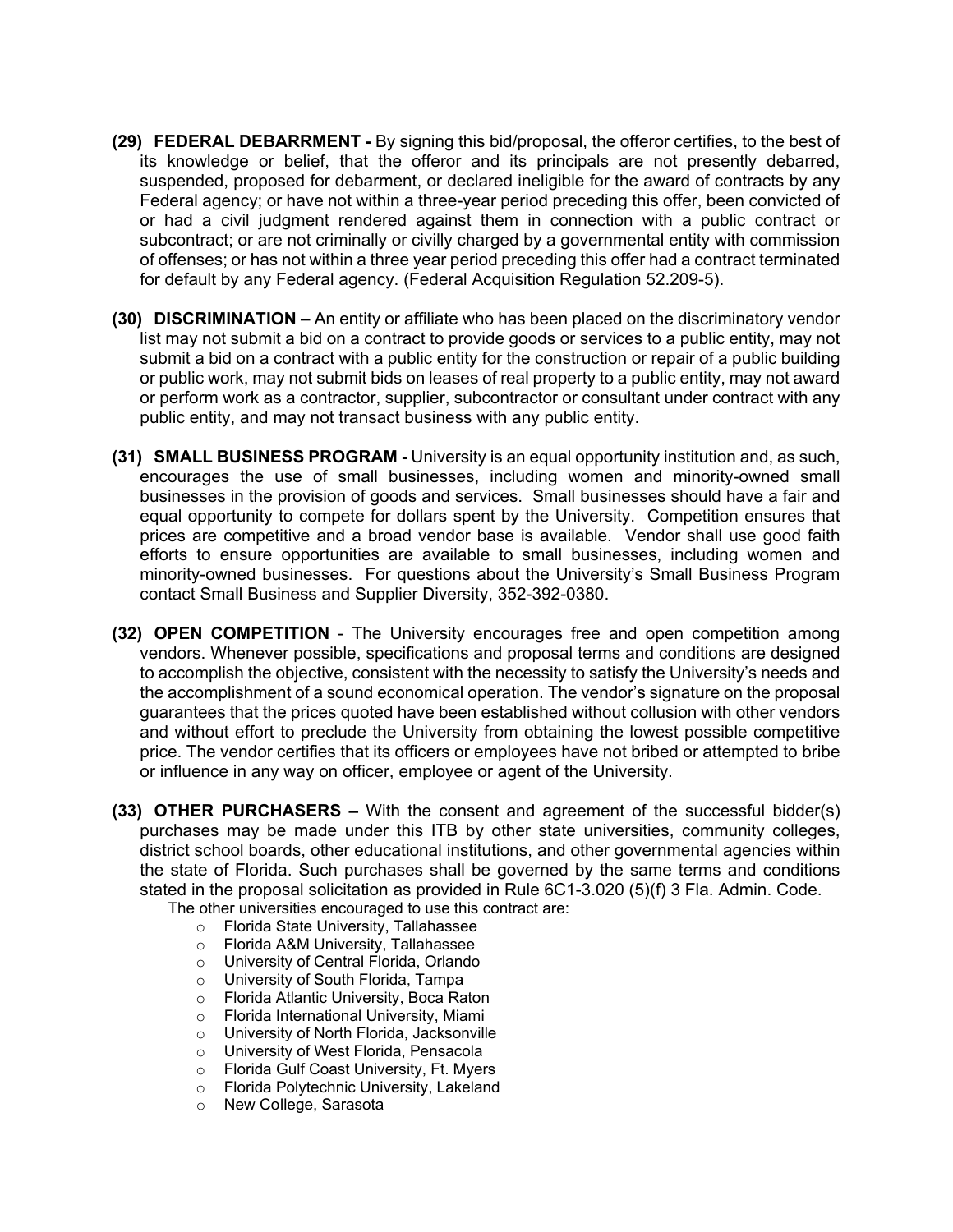- **(29) FEDERAL DEBARRMENT -** By signing this bid/proposal, the offeror certifies, to the best of its knowledge or belief, that the offeror and its principals are not presently debarred, suspended, proposed for debarment, or declared ineligible for the award of contracts by any Federal agency; or have not within a three-year period preceding this offer, been convicted of or had a civil judgment rendered against them in connection with a public contract or subcontract; or are not criminally or civilly charged by a governmental entity with commission of offenses; or has not within a three year period preceding this offer had a contract terminated for default by any Federal agency. (Federal Acquisition Regulation 52.209-5).
- **(30) DISCRIMINATION** An entity or affiliate who has been placed on the discriminatory vendor list may not submit a bid on a contract to provide goods or services to a public entity, may not submit a bid on a contract with a public entity for the construction or repair of a public building or public work, may not submit bids on leases of real property to a public entity, may not award or perform work as a contractor, supplier, subcontractor or consultant under contract with any public entity, and may not transact business with any public entity.
- **(31) SMALL BUSINESS PROGRAM -** University is an equal opportunity institution and, as such, encourages the use of small businesses, including women and minority-owned small businesses in the provision of goods and services. Small businesses should have a fair and equal opportunity to compete for dollars spent by the University. Competition ensures that prices are competitive and a broad vendor base is available. Vendor shall use good faith efforts to ensure opportunities are available to small businesses, including women and minority-owned businesses. For questions about the University's Small Business Program contact Small Business and Supplier Diversity, 352-392-0380.
- **(32) OPEN COMPETITION** The University encourages free and open competition among vendors. Whenever possible, specifications and proposal terms and conditions are designed to accomplish the objective, consistent with the necessity to satisfy the University's needs and the accomplishment of a sound economical operation. The vendor's signature on the proposal guarantees that the prices quoted have been established without collusion with other vendors and without effort to preclude the University from obtaining the lowest possible competitive price. The vendor certifies that its officers or employees have not bribed or attempted to bribe or influence in any way on officer, employee or agent of the University.
- **(33) OTHER PURCHASERS –** With the consent and agreement of the successful bidder(s) purchases may be made under this ITB by other state universities, community colleges, district school boards, other educational institutions, and other governmental agencies within the state of Florida. Such purchases shall be governed by the same terms and conditions stated in the proposal solicitation as provided in Rule 6C1-3.020 (5)(f) 3 Fla. Admin. Code.
	- The other universities encouraged to use this contract are:
		- o Florida State University, Tallahassee<br>○ Florida A&M Universitv. Tallahassee
		- o Florida A&M University, Tallahassee<br>○ University of Central Florida, Orlando
		- University of Central Florida, Orlando
		- o University of South Florida, Tampa<br>○ Florida Atlantic University. Boca Ra
		- o Florida Atlantic University, Boca Raton<br>○ Florida International University, Miami
		- Florida International University, Miami
		- o University of North Florida, Jacksonville
		- o University of West Florida, Pensacola
		- o Florida Gulf Coast University, Ft. Myers
		- o Florida Polytechnic University, Lakeland
		- o New College, Sarasota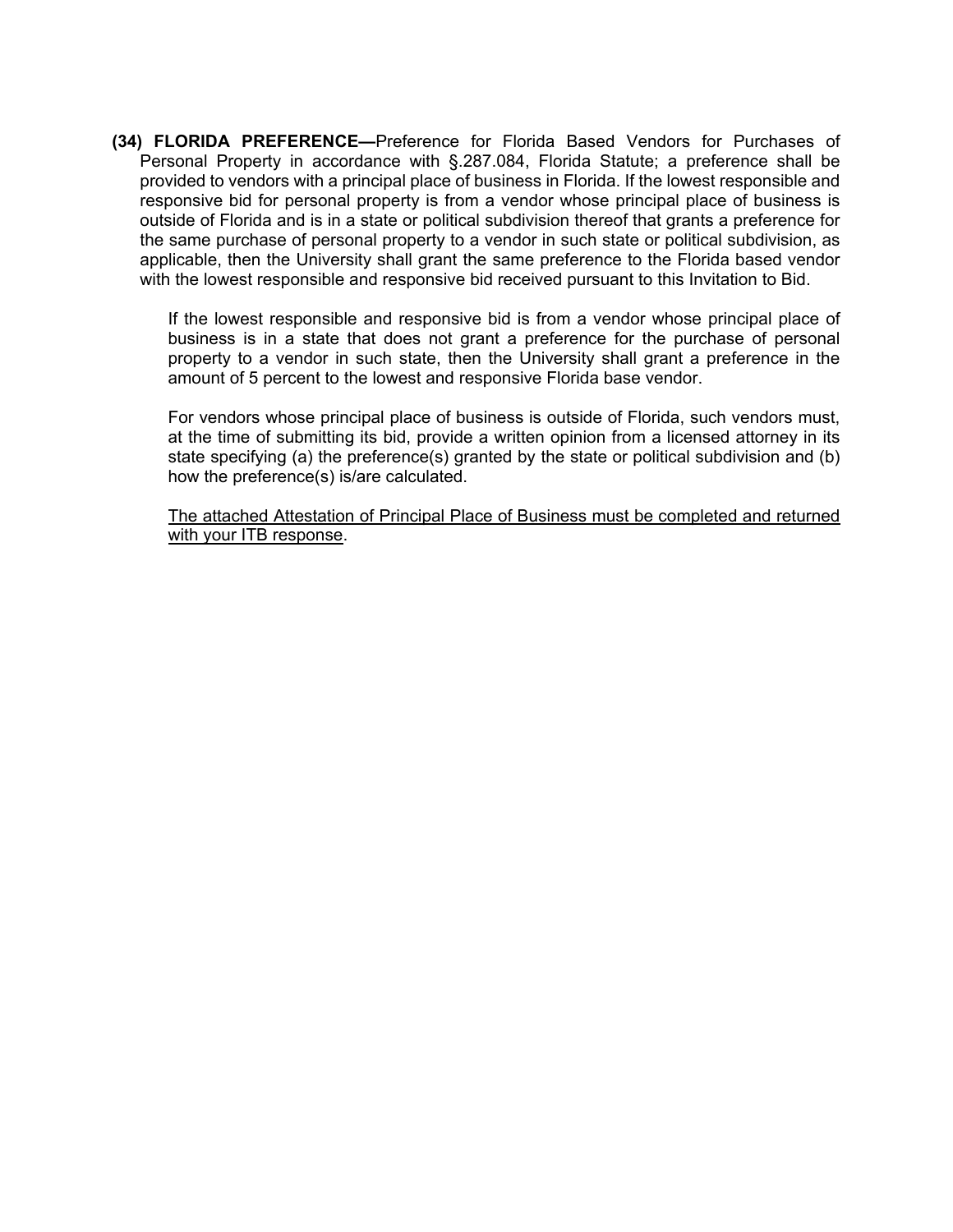**(34) FLORIDA PREFERENCE—**Preference for Florida Based Vendors for Purchases of Personal Property in accordance with §.287.084, Florida Statute; a preference shall be provided to vendors with a principal place of business in Florida. If the lowest responsible and responsive bid for personal property is from a vendor whose principal place of business is outside of Florida and is in a state or political subdivision thereof that grants a preference for the same purchase of personal property to a vendor in such state or political subdivision, as applicable, then the University shall grant the same preference to the Florida based vendor with the lowest responsible and responsive bid received pursuant to this Invitation to Bid.

If the lowest responsible and responsive bid is from a vendor whose principal place of business is in a state that does not grant a preference for the purchase of personal property to a vendor in such state, then the University shall grant a preference in the amount of 5 percent to the lowest and responsive Florida base vendor.

For vendors whose principal place of business is outside of Florida, such vendors must, at the time of submitting its bid, provide a written opinion from a licensed attorney in its state specifying (a) the preference(s) granted by the state or political subdivision and (b) how the preference(s) is/are calculated.

The attached Attestation of Principal Place of Business must be completed and returned with your ITB response.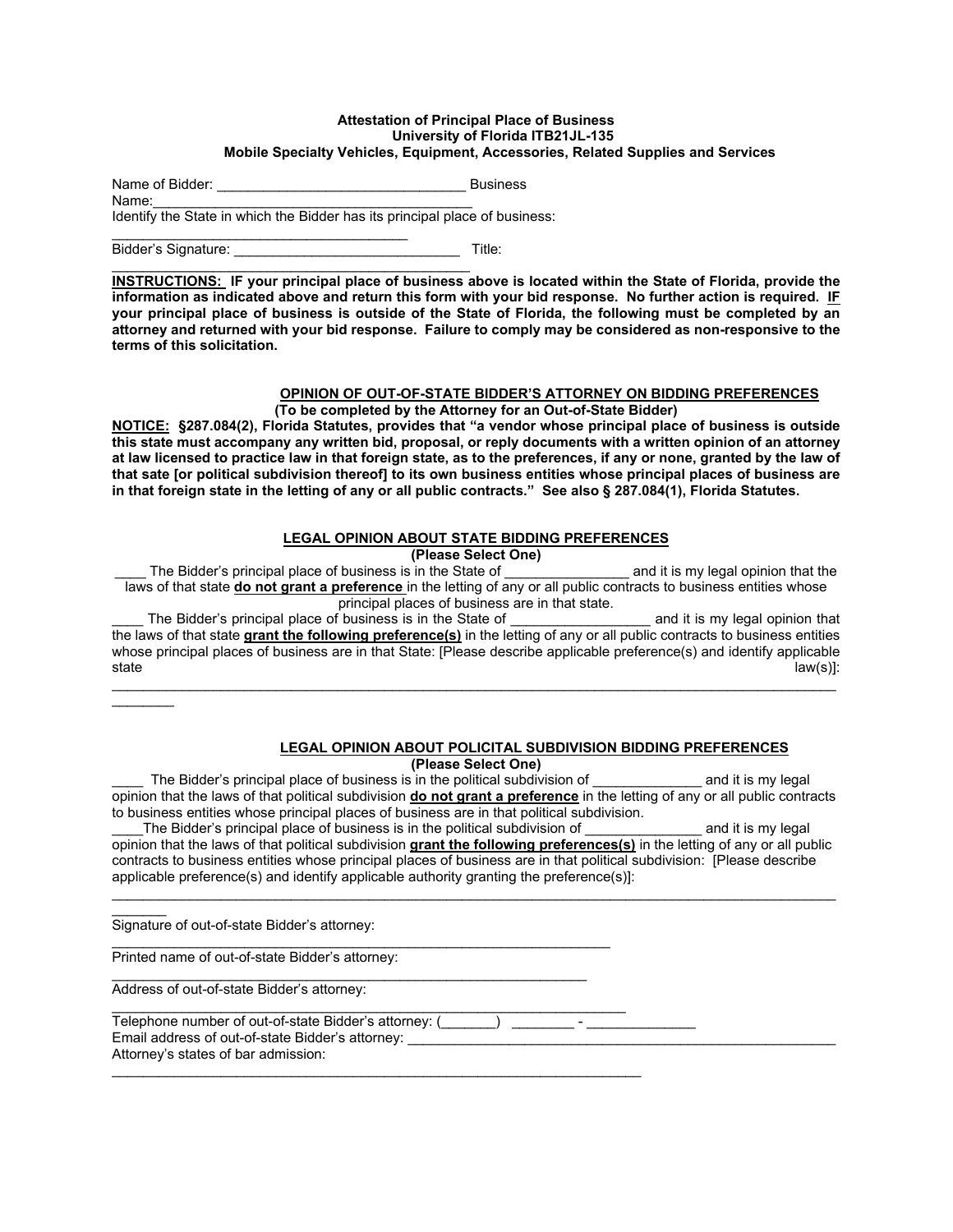#### **Attestation of Principal Place of Business University of Florida ITB21JL-135 Mobile Specialty Vehicles, Equipment, Accessories, Related Supplies and Services**

Name of Bidder:  $\blacksquare$ 

Name:\_\_\_\_\_\_\_\_\_\_\_\_\_\_\_\_\_\_\_\_\_\_\_\_\_\_\_\_\_\_\_\_\_\_\_\_\_\_\_\_\_ Identify the State in which the Bidder has its principal place of business:

\_\_\_\_\_\_\_\_\_\_\_\_\_\_\_\_\_\_\_\_\_\_\_\_\_\_\_\_\_\_\_\_\_\_\_\_\_\_ Bidder's Signature: **Example 20** and the set of the Title:

\_\_\_\_\_\_\_\_\_\_\_\_\_\_\_\_\_\_\_\_\_\_\_\_\_\_\_\_\_\_\_\_\_\_\_\_\_\_\_\_\_\_\_\_\_\_ **INSTRUCTIONS: IF your principal place of business above is located within the State of Florida, provide the information as indicated above and return this form with your bid response. No further action is required. IF your principal place of business is outside of the State of Florida, the following must be completed by an attorney and returned with your bid response. Failure to comply may be considered as non-responsive to the terms of this solicitation.**

#### **OPINION OF OUT-OF-STATE BIDDER'S ATTORNEY ON BIDDING PREFERENCES (To be completed by the Attorney for an Out-of-State Bidder)**

**NOTICE: §287.084(2), Florida Statutes, provides that "a vendor whose principal place of business is outside this state must accompany any written bid, proposal, or reply documents with a written opinion of an attorney at law licensed to practice law in that foreign state, as to the preferences, if any or none, granted by the law of that sate [or political subdivision thereof] to its own business entities whose principal places of business are in that foreign state in the letting of any or all public contracts." See also § 287.084(1), Florida Statutes.**

#### **LEGAL OPINION ABOUT STATE BIDDING PREFERENCES**

**(Please Select One)**

The Bidder's principal place of business is in the State of \_\_\_\_\_\_\_\_\_\_\_\_\_\_\_\_\_\_\_\_\_ and it is my legal opinion that the laws of that state **do not grant a preference** in the letting of any or all public contracts to business entities whose principal places of business are in that state.

\_\_\_\_ The Bidder's principal place of business is in the State of \_\_\_\_\_\_\_\_\_\_\_\_\_\_\_\_\_\_ and it is my legal opinion that the laws of that state **grant the following preference(s)** in the letting of any or all public contracts to business entities whose principal places of business are in that State: [Please describe applicable preference(s) and identify applicable state state law(s)]: state law(s) and the state law(s) and the state law(s) in the state law(s) in the state law(s) i  $\mathcal{L}_\mathcal{L} = \{ \mathcal{L}_\mathcal{L} = \{ \mathcal{L}_\mathcal{L} = \{ \mathcal{L}_\mathcal{L} = \{ \mathcal{L}_\mathcal{L} = \{ \mathcal{L}_\mathcal{L} = \{ \mathcal{L}_\mathcal{L} = \{ \mathcal{L}_\mathcal{L} = \{ \mathcal{L}_\mathcal{L} = \{ \mathcal{L}_\mathcal{L} = \{ \mathcal{L}_\mathcal{L} = \{ \mathcal{L}_\mathcal{L} = \{ \mathcal{L}_\mathcal{L} = \{ \mathcal{L}_\mathcal{L} = \{ \mathcal{L}_\mathcal{$ 

# $\overline{\phantom{a}}$

# **LEGAL OPINION ABOUT POLICITAL SUBDIVISION BIDDING PREFERENCES**

**(Please Select One)**

The Bidder's principal place of business is in the political subdivision of and it is my legal opinion that the laws of that political subdivision **do not grant a preference** in the letting of any or all public contracts to business entities whose principal places of business are in that political subdivision.

The Bidder's principal place of business is in the political subdivision of **Example 2** and it is my legal opinion that the laws of that political subdivision **grant the following preferences(s)** in the letting of any or all public contracts to business entities whose principal places of business are in that political subdivision: [Please describe applicable preference(s) and identify applicable authority granting the preference(s)]:

\_\_\_\_\_\_\_\_\_\_\_\_\_\_\_\_\_\_\_\_\_\_\_\_\_\_\_\_\_\_\_\_\_\_\_\_\_\_\_\_\_\_\_\_\_\_\_\_\_\_\_\_\_\_\_\_\_\_\_\_\_\_\_\_\_\_\_\_\_\_\_\_\_\_\_\_\_\_\_\_\_\_\_\_\_\_\_\_\_\_\_\_\_

 $\overline{\phantom{a}}$ Signature of out-of-state Bidder's attorney:

\_\_\_\_\_\_\_\_\_\_\_\_\_\_\_\_\_\_\_\_\_\_\_\_\_\_\_\_\_\_\_\_\_\_\_\_\_\_\_\_\_\_\_\_\_\_\_\_\_\_\_\_\_\_\_\_\_\_\_\_\_\_\_\_ Printed name of out-of-state Bidder's attorney:

\_\_\_\_\_\_\_\_\_\_\_\_\_\_\_\_\_\_\_\_\_\_\_\_\_\_\_\_\_\_\_\_\_\_\_\_\_\_\_\_\_\_\_\_\_\_\_\_\_\_\_\_\_\_\_\_\_\_\_\_\_ Address of out-of-state Bidder's attorney:

 $\mathcal{L}_\mathcal{L} = \mathcal{L}_\mathcal{L} = \mathcal{L}_\mathcal{L} = \mathcal{L}_\mathcal{L} = \mathcal{L}_\mathcal{L} = \mathcal{L}_\mathcal{L} = \mathcal{L}_\mathcal{L} = \mathcal{L}_\mathcal{L} = \mathcal{L}_\mathcal{L} = \mathcal{L}_\mathcal{L} = \mathcal{L}_\mathcal{L} = \mathcal{L}_\mathcal{L} = \mathcal{L}_\mathcal{L} = \mathcal{L}_\mathcal{L} = \mathcal{L}_\mathcal{L} = \mathcal{L}_\mathcal{L} = \mathcal{L}_\mathcal{L}$ Telephone number of out-of-state Bidder's attorney:  $($ 

Email address of out-of-state Bidder's attorney:

 $\mathcal{L}_\mathcal{L} = \{ \mathcal{L}_\mathcal{L} = \{ \mathcal{L}_\mathcal{L} = \{ \mathcal{L}_\mathcal{L} = \{ \mathcal{L}_\mathcal{L} = \{ \mathcal{L}_\mathcal{L} = \{ \mathcal{L}_\mathcal{L} = \{ \mathcal{L}_\mathcal{L} = \{ \mathcal{L}_\mathcal{L} = \{ \mathcal{L}_\mathcal{L} = \{ \mathcal{L}_\mathcal{L} = \{ \mathcal{L}_\mathcal{L} = \{ \mathcal{L}_\mathcal{L} = \{ \mathcal{L}_\mathcal{L} = \{ \mathcal{L}_\mathcal{$ 

Attorney's states of bar admission: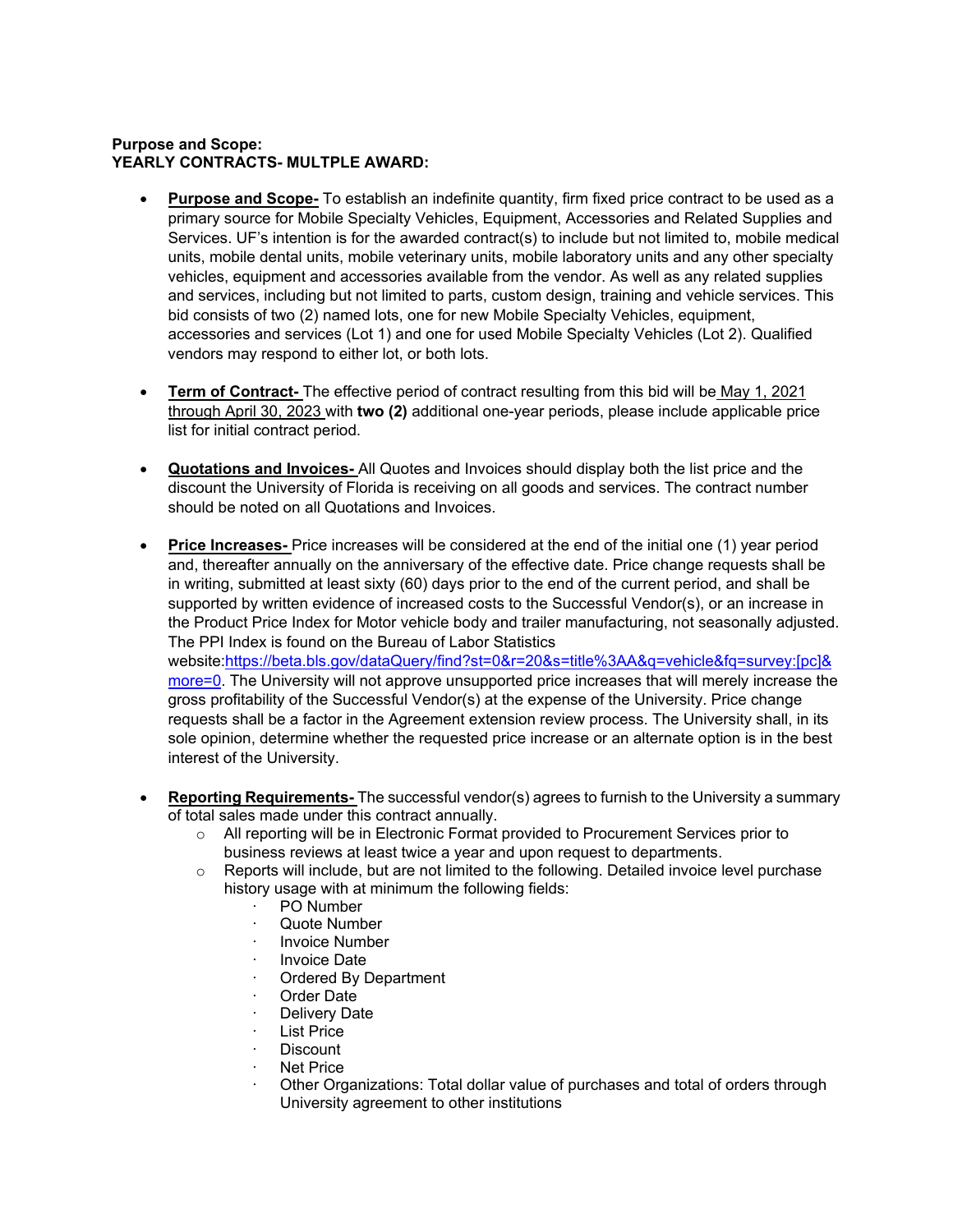#### **Purpose and Scope: YEARLY CONTRACTS- MULTPLE AWARD:**

- **Purpose and Scope-** To establish an indefinite quantity, firm fixed price contract to be used as a primary source for Mobile Specialty Vehicles, Equipment, Accessories and Related Supplies and Services. UF's intention is for the awarded contract(s) to include but not limited to, mobile medical units, mobile dental units, mobile veterinary units, mobile laboratory units and any other specialty vehicles, equipment and accessories available from the vendor. As well as any related supplies and services, including but not limited to parts, custom design, training and vehicle services. This bid consists of two (2) named lots, one for new Mobile Specialty Vehicles, equipment, accessories and services (Lot 1) and one for used Mobile Specialty Vehicles (Lot 2). Qualified vendors may respond to either lot, or both lots.
- **Term of Contract-** The effective period of contract resulting from this bid will be May 1, 2021 through April 30, 2023 with **two (2)** additional one-year periods, please include applicable price list for initial contract period.
- **Quotations and Invoices-** All Quotes and Invoices should display both the list price and the discount the University of Florida is receiving on all goods and services. The contract number should be noted on all Quotations and Invoices.
- **Price Increases-** Price increases will be considered at the end of the initial one (1) year period and, thereafter annually on the anniversary of the effective date. Price change requests shall be in writing, submitted at least sixty (60) days prior to the end of the current period, and shall be supported by written evidence of increased costs to the Successful Vendor(s), or an increase in the Product Price Index for Motor vehicle body and trailer manufacturing, not seasonally adjusted. The PPI Index is found on the Bureau of Labor Statistics website[:https://beta.bls.gov/dataQuery/find?st=0&r=20&s=title%3AA&q=vehicle&fq=survey:\[pc\]&](https://beta.bls.gov/dataQuery/find?st=0&r=20&s=title%3AA&q=vehicle&fq=survey:%5bpc%5d&more=0) [more=0.](https://beta.bls.gov/dataQuery/find?st=0&r=20&s=title%3AA&q=vehicle&fq=survey:%5bpc%5d&more=0) The University will not approve unsupported price increases that will merely increase the gross profitability of the Successful Vendor(s) at the expense of the University. Price change requests shall be a factor in the Agreement extension review process. The University shall, in its sole opinion, determine whether the requested price increase or an alternate option is in the best interest of the University.
- **Reporting Requirements-** The successful vendor(s) agrees to furnish to the University a summary of total sales made under this contract annually.
	- o All reporting will be in Electronic Format provided to Procurement Services prior to business reviews at least twice a year and upon request to departments.
	- $\circ$  Reports will include, but are not limited to the following. Detailed invoice level purchase history usage with at minimum the following fields:
		- PO Number
		- Quote Number
		- **Invoice Number**
		- Invoice Date
		- Ordered By Department
		- Order Date
		- Delivery Date
		- List Price
		- · Discount
		- **Net Price**
		- · Other Organizations: Total dollar value of purchases and total of orders through University agreement to other institutions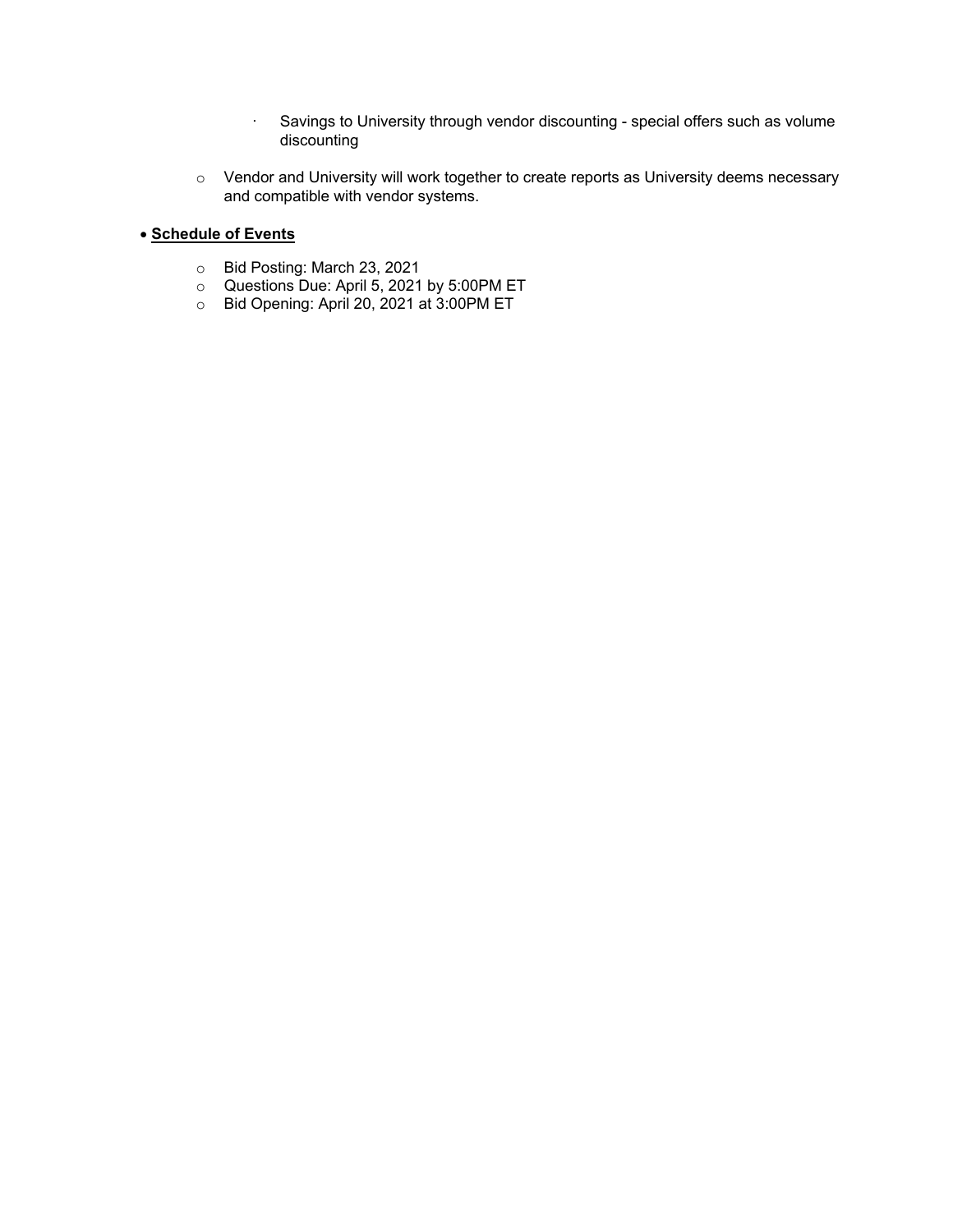- · Savings to University through vendor discounting special offers such as volume discounting
- o Vendor and University will work together to create reports as University deems necessary and compatible with vendor systems.

### • **Schedule of Events**

- o Bid Posting: March 23, 2021
- $\circ$  Questions Due: April 5, 2021 by 5:00PM ET
- $\circ$  Bid Opening: April 20, 2021 at 3:00PM ET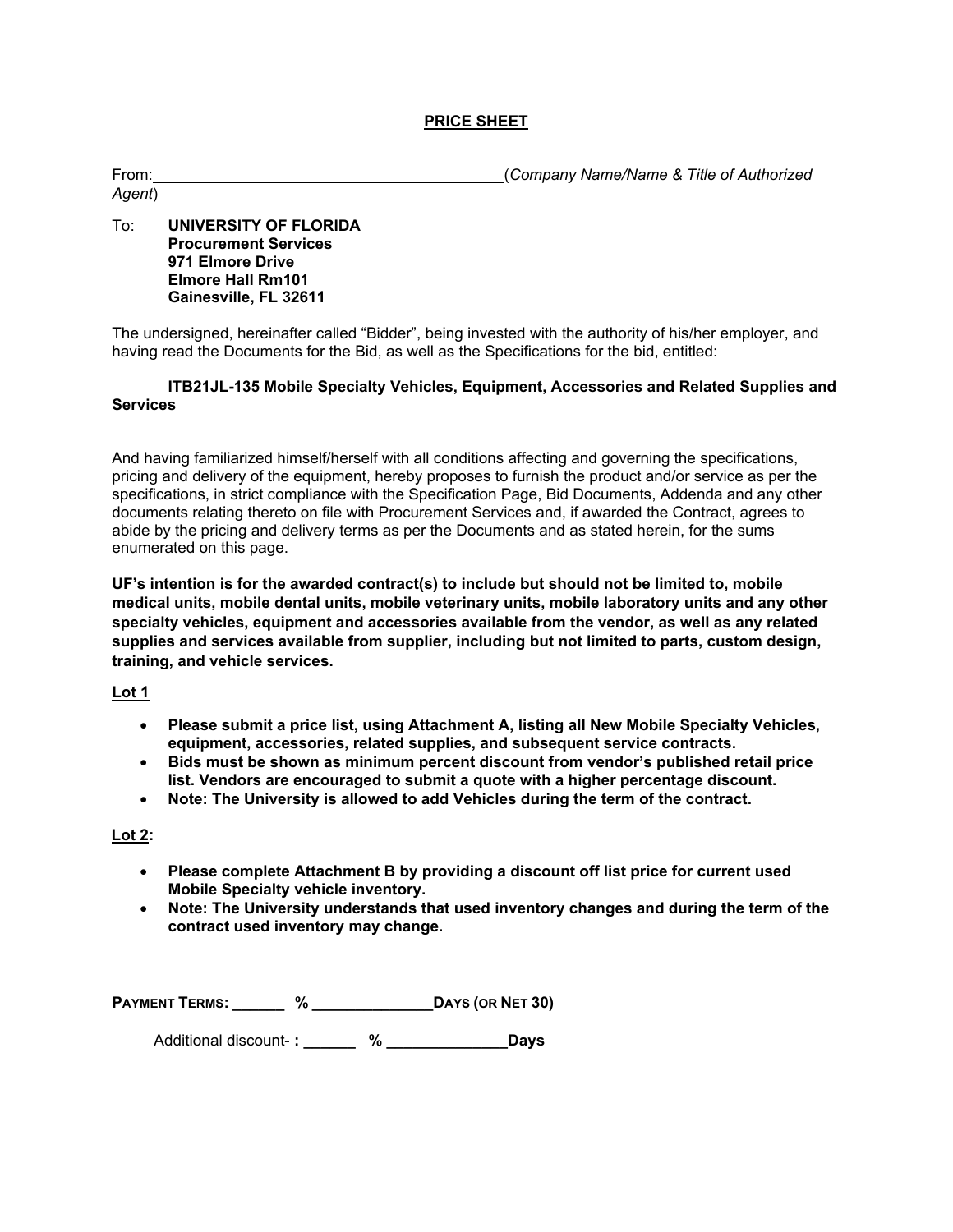#### **PRICE SHEET**

| From:  | (Company Name/Name & Title of Authorized |
|--------|------------------------------------------|
| Agent) |                                          |

#### To: **UNIVERSITY OF FLORIDA Procurement Services 971 Elmore Drive Elmore Hall Rm101 Gainesville, FL 32611**

The undersigned, hereinafter called "Bidder", being invested with the authority of his/her employer, and having read the Documents for the Bid, as well as the Specifications for the bid, entitled:

#### **ITB21JL-135 Mobile Specialty Vehicles, Equipment, Accessories and Related Supplies and Services**

And having familiarized himself/herself with all conditions affecting and governing the specifications, pricing and delivery of the equipment, hereby proposes to furnish the product and/or service as per the specifications, in strict compliance with the Specification Page, Bid Documents, Addenda and any other documents relating thereto on file with Procurement Services and, if awarded the Contract, agrees to abide by the pricing and delivery terms as per the Documents and as stated herein, for the sums enumerated on this page.

**UF's intention is for the awarded contract(s) to include but should not be limited to, mobile medical units, mobile dental units, mobile veterinary units, mobile laboratory units and any other specialty vehicles, equipment and accessories available from the vendor, as well as any related supplies and services available from supplier, including but not limited to parts, custom design, training, and vehicle services.** 

#### **Lot 1**

- **Please submit a price list, using Attachment A, listing all New Mobile Specialty Vehicles, equipment, accessories, related supplies, and subsequent service contracts.**
- **Bids must be shown as minimum percent discount from vendor's published retail price list. Vendors are encouraged to submit a quote with a higher percentage discount.**
- **Note: The University is allowed to add Vehicles during the term of the contract.**

#### **Lot 2:**

- **Please complete Attachment B by providing a discount off list price for current used Mobile Specialty vehicle inventory.**
- **Note: The University understands that used inventory changes and during the term of the contract used inventory may change.**

**PAYMENT TERMS: \_\_\_\_\_\_ % \_\_\_\_\_\_\_\_\_\_\_\_\_\_DAYS (OR NET 30)**

Additional discount- **: \_\_\_\_\_\_ % \_\_\_\_\_\_\_\_\_\_\_\_\_\_Days**